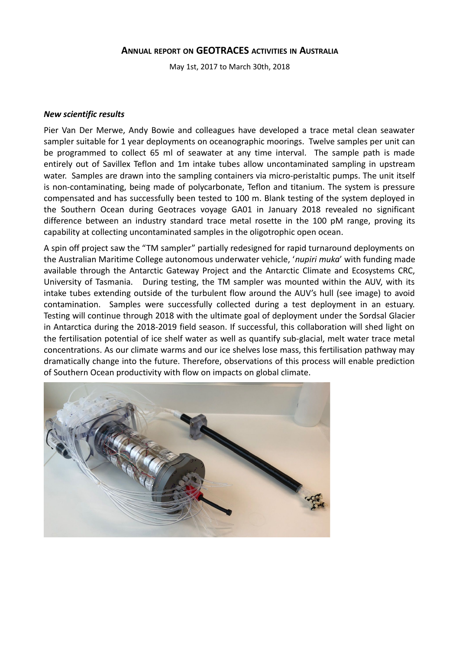# **ANNUAL REPORT ON GEOTRACES ACTIVITIES IN AUSTRALIA**

May 1st, 2017 to March 30th, 2018

#### *New scientific results*

Pier Van Der Merwe, Andy Bowie and colleagues have developed a trace metal clean seawater sampler suitable for 1 year deployments on oceanographic moorings. Twelve samples per unit can be programmed to collect 65 ml of seawater at any time interval. The sample path is made entirely out of Savillex Teflon and 1m intake tubes allow uncontaminated sampling in upstream water. Samples are drawn into the sampling containers via micro-peristaltic pumps. The unit itself is non-contaminating, being made of polycarbonate, Teflon and titanium. The system is pressure compensated and has successfully been tested to 100 m. Blank testing of the system deployed in the Southern Ocean during Geotraces voyage GA01 in January 2018 revealed no significant difference between an industry standard trace metal rosette in the 100 pM range, proving its capability at collecting uncontaminated samples in the oligotrophic open ocean.

A spin off project saw the "TM sampler" partially redesigned for rapid turnaround deployments on the Australian Maritime College autonomous underwater vehicle, '*nupiri muka*' with funding made available through the Antarctic Gateway Project and the Antarctic Climate and Ecosystems CRC, University of Tasmania. During testing, the TM sampler was mounted within the AUV, with its intake tubes extending outside of the turbulent flow around the AUV's hull (see image) to avoid contamination. Samples were successfully collected during a test deployment in an estuary. Testing will continue through 2018 with the ultimate goal of deployment under the Sordsal Glacier in Antarctica during the 2018-2019 field season. If successful, this collaboration will shed light on the fertilisation potential of ice shelf water as well as quantify sub-glacial, melt water trace metal concentrations. As our climate warms and our ice shelves lose mass, this fertilisation pathway may dramatically change into the future. Therefore, observations of this process will enable prediction of Southern Ocean productivity with flow on impacts on global climate.

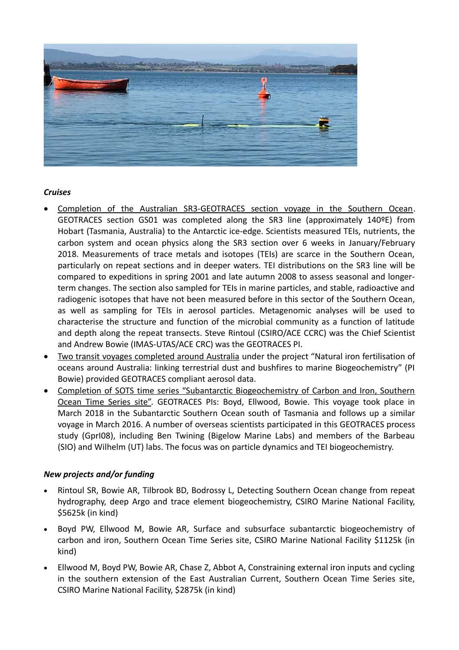

# *Cruises*

- Completion of the Australian SR3-GEOTRACES section voyage in the Southern Ocean. GEOTRACES section GS01 was completed along the SR3 line (approximately 140ºE) from Hobart (Tasmania, Australia) to the Antarctic ice-edge. Scientists measured TEIs, nutrients, the carbon system and ocean physics along the SR3 section over 6 weeks in January/February 2018. Measurements of trace metals and isotopes (TEIs) are scarce in the Southern Ocean, particularly on repeat sections and in deeper waters. TEI distributions on the SR3 line will be compared to expeditions in spring 2001 and late autumn 2008 to assess seasonal and longerterm changes. The section also sampled for TEIs in marine particles, and stable, radioactive and radiogenic isotopes that have not been measured before in this sector of the Southern Ocean, as well as sampling for TEIs in aerosol particles. Metagenomic analyses will be used to characterise the structure and function of the microbial community as a function of latitude and depth along the repeat transects. Steve Rintoul (CSIRO/ACE CCRC) was the Chief Scientist and Andrew Bowie (IMAS-UTAS/ACE CRC) was the GEOTRACES PI.
- Two transit voyages completed around Australia under the project "Natural iron fertilisation of oceans around Australia: linking terrestrial dust and bushfires to marine Biogeochemistry" (PI Bowie) provided GEOTRACES compliant aerosol data.
- Completion of SOTS time series "Subantarctic Biogeochemistry of Carbon and Iron, Southern Ocean Time Series site". GEOTRACES PIs: Boyd, Ellwood, Bowie. This voyage took place in March 2018 in the Subantarctic Southern Ocean south of Tasmania and follows up a similar voyage in March 2016. A number of overseas scientists participated in this GEOTRACES process study (GprI08), including Ben Twining (Bigelow Marine Labs) and members of the Barbeau (SIO) and Wilhelm (UT) labs. The focus was on particle dynamics and TEI biogeochemistry.

# *New projects and/or funding*

- Rintoul SR, Bowie AR, Tilbrook BD, Bodrossy L, Detecting Southern Ocean change from repeat hydrography, deep Argo and trace element biogeochemistry, CSIRO Marine National Facility, \$5625k (in kind)
- Boyd PW, Ellwood M, Bowie AR, Surface and subsurface subantarctic biogeochemistry of carbon and iron, Southern Ocean Time Series site, CSIRO Marine National Facility \$1125k (in kind)
- Ellwood M, Boyd PW, Bowie AR, Chase Z, Abbot A, Constraining external iron inputs and cycling in the southern extension of the East Australian Current, Southern Ocean Time Series site, CSIRO Marine National Facility, \$2875k (in kind)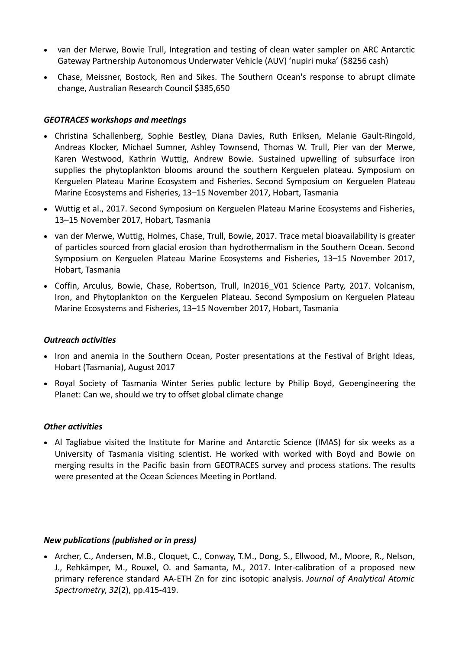- van der Merwe, Bowie Trull, Integration and testing of clean water sampler on ARC Antarctic Gateway Partnership Autonomous Underwater Vehicle (AUV) 'nupiri muka' (\$8256 cash)
- Chase, Meissner, Bostock, Ren and Sikes. The Southern Ocean's response to abrupt climate change, Australian Research Council \$385,650

### *GEOTRACES workshops and meetings*

- Christina Schallenberg, Sophie Bestley, Diana Davies, Ruth Eriksen, Melanie Gault-Ringold, Andreas Klocker, Michael Sumner, Ashley Townsend, Thomas W. Trull, Pier van der Merwe, Karen Westwood, Kathrin Wuttig, Andrew Bowie. Sustained upwelling of subsurface iron supplies the phytoplankton blooms around the southern Kerguelen plateau. Symposium on Kerguelen Plateau Marine Ecosystem and Fisheries. Second Symposium on Kerguelen Plateau Marine Ecosystems and Fisheries, 13–15 November 2017, Hobart, Tasmania
- Wuttig et al., 2017. Second Symposium on Kerguelen Plateau Marine Ecosystems and Fisheries, 13–15 November 2017, Hobart, Tasmania
- van der Merwe, Wuttig, Holmes, Chase, Trull, Bowie, 2017. Trace metal bioavailability is greater of particles sourced from glacial erosion than hydrothermalism in the Southern Ocean. Second Symposium on Kerguelen Plateau Marine Ecosystems and Fisheries, 13–15 November 2017, Hobart, Tasmania
- Coffin, Arculus, Bowie, Chase, Robertson, Trull, In2016 V01 Science Party, 2017. Volcanism, Iron, and Phytoplankton on the Kerguelen Plateau. Second Symposium on Kerguelen Plateau Marine Ecosystems and Fisheries, 13–15 November 2017, Hobart, Tasmania

#### *Outreach activities*

- Iron and anemia in the Southern Ocean, Poster presentations at the Festival of Bright Ideas, Hobart (Tasmania), August 2017
- Royal Society of Tasmania Winter Series public lecture by Philip Boyd, Geoengineering the Planet: Can we, should we try to offset global climate change

#### *Other activities*

 Al Tagliabue visited the Institute for Marine and Antarctic Science (IMAS) for six weeks as a University of Tasmania visiting scientist. He worked with worked with Boyd and Bowie on merging results in the Pacific basin from GEOTRACES survey and process stations. The results were presented at the Ocean Sciences Meeting in Portland.

#### *New publications (published or in press)*

• Archer, C., Andersen, M.B., Cloquet, C., Conway, T.M., Dong, S., Ellwood, M., Moore, R., Nelson, J., Rehkämper, M., Rouxel, O. and Samanta, M., 2017. Inter-calibration of a proposed new primary reference standard AA-ETH Zn for zinc isotopic analysis. *Journal of Analytical Atomic Spectrometry*, *32*(2), pp.415-419.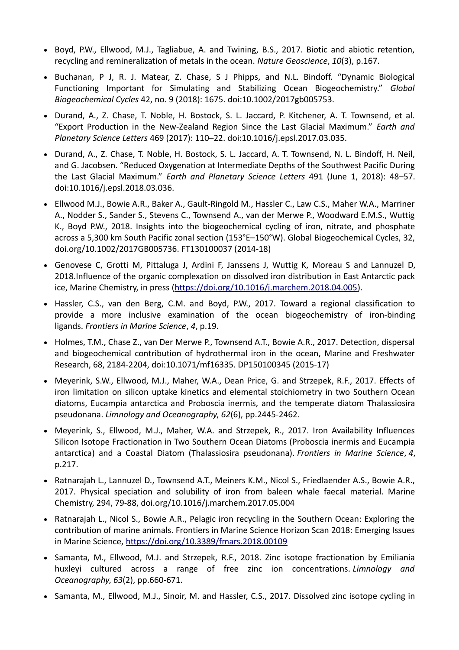- Boyd, P.W., Ellwood, M.J., Tagliabue, A. and Twining, B.S., 2017. Biotic and abiotic retention, recycling and remineralization of metals in the ocean. *Nature Geoscience*, *10*(3), p.167.
- Buchanan, P J, R. J. Matear, Z. Chase, S J Phipps, and N.L. Bindoff. "Dynamic Biological Functioning Important for Simulating and Stabilizing Ocean Biogeochemistry." *Global Biogeochemical Cycles* 42, no. 9 (2018): 1675. doi:10.1002/2017gb005753.
- Durand, A., Z. Chase, T. Noble, H. Bostock, S. L. Jaccard, P. Kitchener, A. T. Townsend, et al. "Export Production in the New-Zealand Region Since the Last Glacial Maximum." *Earth and Planetary Science Letters* 469 (2017): 110–22. doi:10.1016/j.epsl.2017.03.035.
- Durand, A., Z. Chase, T. Noble, H. Bostock, S. L. Jaccard, A. T. Townsend, N. L. Bindoff, H. Neil, and G. Jacobsen. "Reduced Oxygenation at Intermediate Depths of the Southwest Pacific During the Last Glacial Maximum." *Earth and Planetary Science Letters* 491 (June 1, 2018): 48–57. doi:10.1016/j.epsl.2018.03.036.
- Ellwood M.J., Bowie A.R., Baker A., Gault-Ringold M., Hassler C., Law C.S., Maher W.A., Marriner A., Nodder S., Sander S., Stevens C., Townsend A., van der Merwe P., Woodward E.M.S., Wuttig K., Boyd P.W., 2018. Insights into the biogeochemical cycling of iron, nitrate, and phosphate across a 5,300 km South Pacific zonal section (153°E–150°W). Global Biogeochemical Cycles, 32, doi.org/10.1002/2017GB005736. FT130100037 (2014-18)
- Genovese C, Grotti M, Pittaluga J, Ardini F, Janssens J, Wuttig K, Moreau S and Lannuzel D, 2018.Influence of the organic complexation on dissolved iron distribution in East Antarctic pack ice, Marine Chemistry, in press [\(https://doi.org/10.1016/j.marchem.2018.04.005\)](https://doi.org/10.1016/j.marchem.2018.04.005).
- Hassler, C.S., van den Berg, C.M. and Boyd, P.W., 2017. Toward a regional classification to provide a more inclusive examination of the ocean biogeochemistry of iron-binding ligands. *Frontiers in Marine Science*, *4*, p.19.
- Holmes, T.M., Chase Z., van Der Merwe P., Townsend A.T., Bowie A.R., 2017. Detection, dispersal and biogeochemical contribution of hydrothermal iron in the ocean, Marine and Freshwater Research, 68, 2184-2204, doi:10.1071/mf16335. DP150100345 (2015-17)
- Meyerink, S.W., Ellwood, M.J., Maher, W.A., Dean Price, G. and Strzepek, R.F., 2017. Effects of iron limitation on silicon uptake kinetics and elemental stoichiometry in two Southern Ocean diatoms, Eucampia antarctica and Proboscia inermis, and the temperate diatom Thalassiosira pseudonana. *Limnology and Oceanography*, *62*(6), pp.2445-2462.
- Meyerink, S., Ellwood, M.J., Maher, W.A. and Strzepek, R., 2017. Iron Availability Influences Silicon Isotope Fractionation in Two Southern Ocean Diatoms (Proboscia inermis and Eucampia antarctica) and a Coastal Diatom (Thalassiosira pseudonana). *Frontiers in Marine Science*, *4*, p.217.
- Ratnarajah L., Lannuzel D., Townsend A.T., Meiners K.M., Nicol S., Friedlaender A.S., Bowie A.R., 2017. Physical speciation and solubility of iron from baleen whale faecal material. Marine Chemistry, 294, 79-88, doi.org/10.1016/j.marchem.2017.05.004
- Ratnarajah L., Nicol S., Bowie A.R., Pelagic iron recycling in the Southern Ocean: Exploring the contribution of marine animals. Frontiers in Marine Science Horizon Scan 2018: Emerging Issues in Marine Science, <https://doi.org/10.3389/fmars.2018.00109>
- Samanta, M., Ellwood, M.J. and Strzepek, R.F., 2018. Zinc isotope fractionation by Emiliania huxleyi cultured across a range of free zinc ion concentrations. *Limnology and Oceanography*, *63*(2), pp.660-671.
- Samanta, M., Ellwood, M.J., Sinoir, M. and Hassler, C.S., 2017. Dissolved zinc isotope cycling in